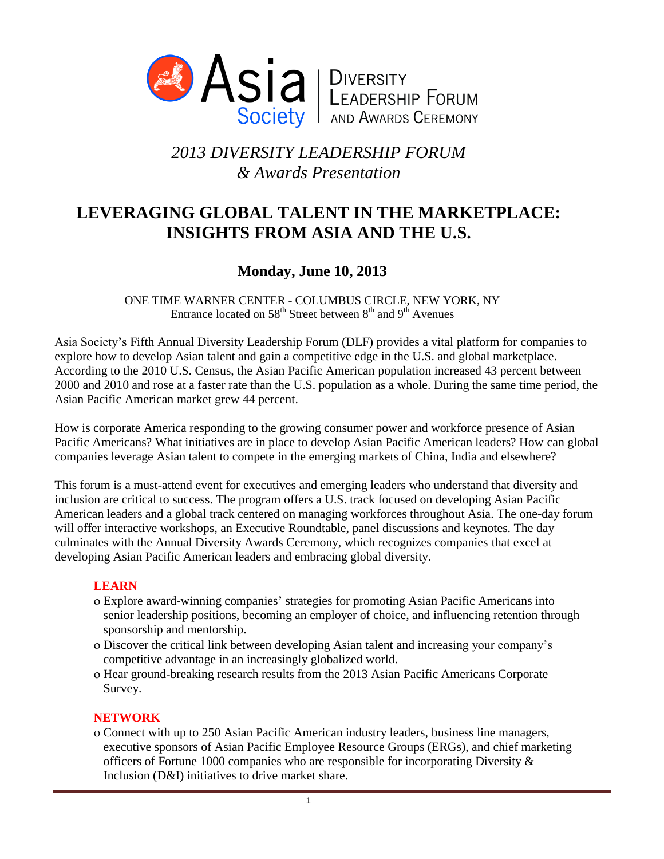

# *2013 DIVERSITY LEADERSHIP FORUM & Awards Presentation*

## **LEVERAGING GLOBAL TALENT IN THE MARKETPLACE: INSIGHTS FROM ASIA AND THE U.S.**

## **Monday, June 10, 2013**

ONE TIME WARNER CENTER - COLUMBUS CIRCLE, NEW YORK, NY Entrance located on  $58^{\text{th}}$  Street between  $8^{\text{th}}$  and  $9^{\text{th}}$  Avenues

Asia Society's Fifth Annual Diversity Leadership Forum (DLF) provides a vital platform for companies to explore how to develop Asian talent and gain a competitive edge in the U.S. and global marketplace. According to the 2010 U.S. Census, the Asian Pacific American population increased 43 percent between 2000 and 2010 and rose at a faster rate than the U.S. population as a whole. During the same time period, the Asian Pacific American market grew 44 percent.

How is corporate America responding to the growing consumer power and workforce presence of Asian Pacific Americans? What initiatives are in place to develop Asian Pacific American leaders? How can global companies leverage Asian talent to compete in the emerging markets of China, India and elsewhere?

This forum is a must-attend event for executives and emerging leaders who understand that diversity and inclusion are critical to success. The program offers a U.S. track focused on developing Asian Pacific American leaders and a global track centered on managing workforces throughout Asia. The one-day forum will offer interactive workshops, an Executive Roundtable, panel discussions and keynotes. The day culminates with the Annual Diversity Awards Ceremony, which recognizes companies that excel at developing Asian Pacific American leaders and embracing global diversity.

#### **LEARN**

- Explore award-winning companies' strategies for promoting Asian Pacific Americans into senior leadership positions, becoming an employer of choice, and influencing retention through sponsorship and mentorship.
- Discover the critical link between developing Asian talent and increasing your company's competitive advantage in an increasingly globalized world.
- o Hear ground-breaking research results from the 2013 Asian Pacific Americans Corporate Survey.

## **NETWORK**

 Connect with up to 250 Asian Pacific American industry leaders, business line managers, executive sponsors of Asian Pacific Employee Resource Groups (ERGs), and chief marketing officers of Fortune 1000 companies who are responsible for incorporating Diversity & Inclusion (D&I) initiatives to drive market share.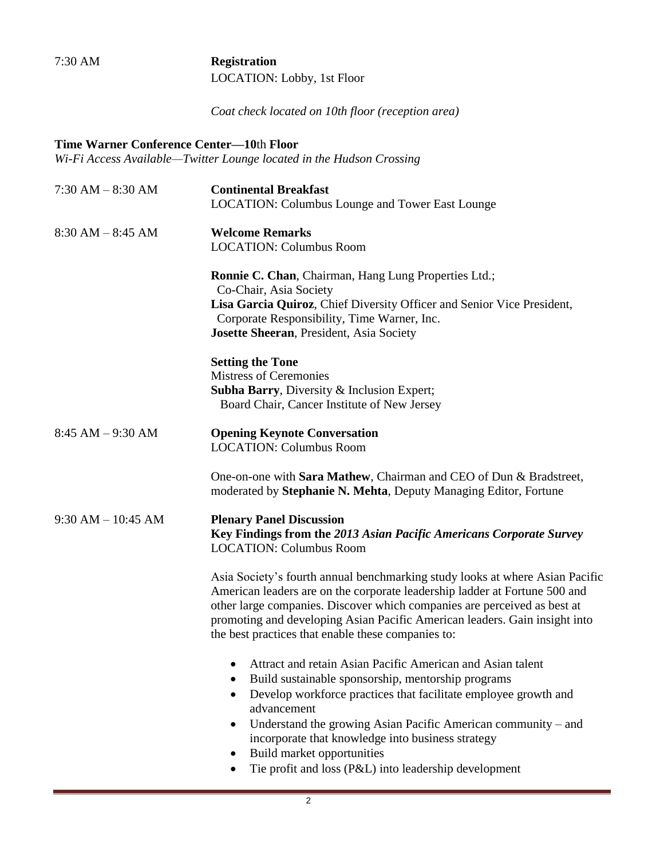7:30 AM **Registration** LOCATION: Lobby, 1st Floor

*Coat check located on 10th floor (reception area)*

## **Time Warner Conference Center—10**th **Floor**

*Wi-Fi Access Available—Twitter Lounge located in the Hudson Crossing*

| $7:30$ AM $-8:30$ AM   | <b>Continental Breakfast</b><br><b>LOCATION: Columbus Lounge and Tower East Lounge</b>                                                                                                                                                                                                                                                                                                                                                   |
|------------------------|------------------------------------------------------------------------------------------------------------------------------------------------------------------------------------------------------------------------------------------------------------------------------------------------------------------------------------------------------------------------------------------------------------------------------------------|
| $8:30$ AM $-8:45$ AM   | <b>Welcome Remarks</b><br><b>LOCATION: Columbus Room</b>                                                                                                                                                                                                                                                                                                                                                                                 |
|                        | Ronnie C. Chan, Chairman, Hang Lung Properties Ltd.;<br>Co-Chair, Asia Society<br>Lisa Garcia Quiroz, Chief Diversity Officer and Senior Vice President,<br>Corporate Responsibility, Time Warner, Inc.<br>Josette Sheeran, President, Asia Society                                                                                                                                                                                      |
|                        | <b>Setting the Tone</b><br><b>Mistress of Ceremonies</b><br>Subha Barry, Diversity & Inclusion Expert;<br>Board Chair, Cancer Institute of New Jersey                                                                                                                                                                                                                                                                                    |
| $8:45 AM - 9:30 AM$    | <b>Opening Keynote Conversation</b><br><b>LOCATION: Columbus Room</b>                                                                                                                                                                                                                                                                                                                                                                    |
|                        | One-on-one with Sara Mathew, Chairman and CEO of Dun & Bradstreet,<br>moderated by Stephanie N. Mehta, Deputy Managing Editor, Fortune                                                                                                                                                                                                                                                                                                   |
| $9:30$ AM $- 10:45$ AM | <b>Plenary Panel Discussion</b><br>Key Findings from the 2013 Asian Pacific Americans Corporate Survey<br><b>LOCATION: Columbus Room</b>                                                                                                                                                                                                                                                                                                 |
|                        | Asia Society's fourth annual benchmarking study looks at where Asian Pacific<br>American leaders are on the corporate leadership ladder at Fortune 500 and<br>other large companies. Discover which companies are perceived as best at<br>promoting and developing Asian Pacific American leaders. Gain insight into<br>the best practices that enable these companies to:                                                               |
|                        | Attract and retain Asian Pacific American and Asian talent<br>Build sustainable sponsorship, mentorship programs<br>٠<br>Develop workforce practices that facilitate employee growth and<br>$\bullet$<br>advancement<br>Understand the growing Asian Pacific American community $-$ and<br>٠<br>incorporate that knowledge into business strategy<br>Build market opportunities<br>Tie profit and loss (P&L) into leadership development |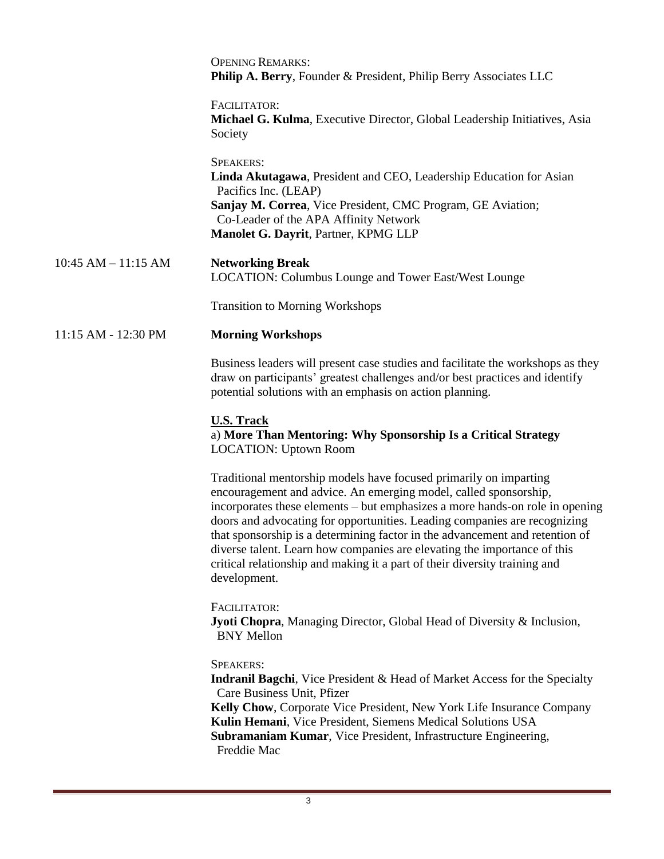|                         | <b>OPENING REMARKS:</b><br>Philip A. Berry, Founder & President, Philip Berry Associates LLC                                                                                                                                                                                                                                                                                                                                                                                                                                                                 |
|-------------------------|--------------------------------------------------------------------------------------------------------------------------------------------------------------------------------------------------------------------------------------------------------------------------------------------------------------------------------------------------------------------------------------------------------------------------------------------------------------------------------------------------------------------------------------------------------------|
|                         | FACILITATOR:<br>Michael G. Kulma, Executive Director, Global Leadership Initiatives, Asia<br>Society                                                                                                                                                                                                                                                                                                                                                                                                                                                         |
|                         | <b>SPEAKERS:</b><br>Linda Akutagawa, President and CEO, Leadership Education for Asian<br>Pacifics Inc. (LEAP)<br>Sanjay M. Correa, Vice President, CMC Program, GE Aviation;<br>Co-Leader of the APA Affinity Network<br>Manolet G. Dayrit, Partner, KPMG LLP                                                                                                                                                                                                                                                                                               |
| $10:45$ AM $- 11:15$ AM | <b>Networking Break</b><br><b>LOCATION: Columbus Lounge and Tower East/West Lounge</b>                                                                                                                                                                                                                                                                                                                                                                                                                                                                       |
|                         | <b>Transition to Morning Workshops</b>                                                                                                                                                                                                                                                                                                                                                                                                                                                                                                                       |
| 11:15 AM - 12:30 PM     | <b>Morning Workshops</b>                                                                                                                                                                                                                                                                                                                                                                                                                                                                                                                                     |
|                         | Business leaders will present case studies and facilitate the workshops as they<br>draw on participants' greatest challenges and/or best practices and identify<br>potential solutions with an emphasis on action planning.                                                                                                                                                                                                                                                                                                                                  |
|                         | <b>U.S. Track</b><br>a) More Than Mentoring: Why Sponsorship Is a Critical Strategy<br><b>LOCATION: Uptown Room</b>                                                                                                                                                                                                                                                                                                                                                                                                                                          |
|                         | Traditional mentorship models have focused primarily on imparting<br>encouragement and advice. An emerging model, called sponsorship,<br>incorporates these elements – but emphasizes a more hands-on role in opening<br>doors and advocating for opportunities. Leading companies are recognizing<br>that sponsorship is a determining factor in the advancement and retention of<br>diverse talent. Learn how companies are elevating the importance of this<br>critical relationship and making it a part of their diversity training and<br>development. |
|                         | FACILITATOR:<br><b>Jyoti Chopra</b> , Managing Director, Global Head of Diversity & Inclusion,<br><b>BNY Mellon</b>                                                                                                                                                                                                                                                                                                                                                                                                                                          |
|                         | <b>SPEAKERS:</b><br><b>Indranil Bagchi</b> , Vice President & Head of Market Access for the Specialty<br>Care Business Unit, Pfizer<br>Kelly Chow, Corporate Vice President, New York Life Insurance Company<br>Kulin Hemani, Vice President, Siemens Medical Solutions USA<br>Subramaniam Kumar, Vice President, Infrastructure Engineering,<br>Freddie Mac                                                                                                                                                                                                 |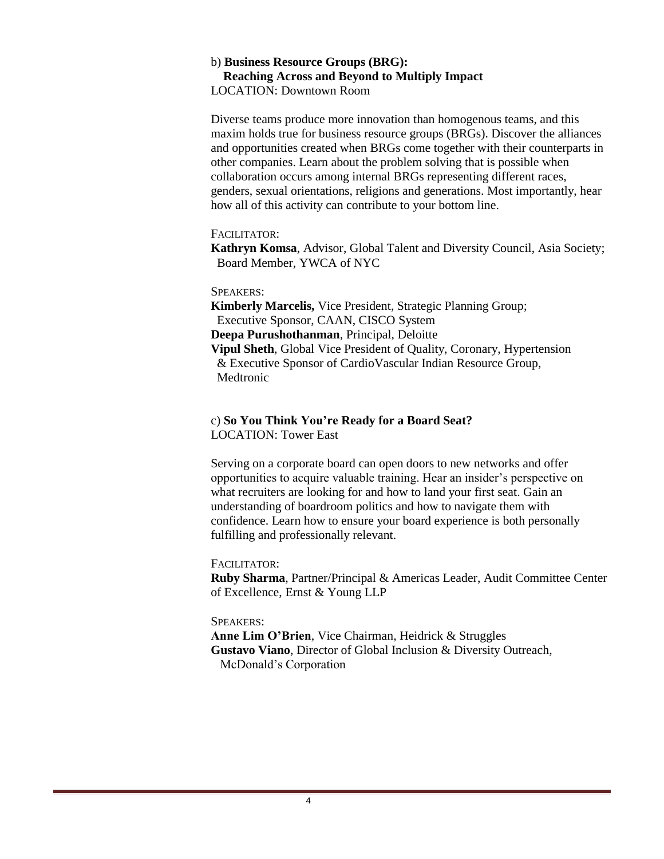#### b) **Business Resource Groups (BRG): Reaching Across and Beyond to Multiply Impact** LOCATION: Downtown Room

Diverse teams produce more innovation than homogenous teams, and this maxim holds true for business resource groups (BRGs). Discover the alliances and opportunities created when BRGs come together with their counterparts in other companies. Learn about the problem solving that is possible when collaboration occurs among internal BRGs representing different races, genders, sexual orientations, religions and generations. Most importantly, hear how all of this activity can contribute to your bottom line.

#### FACILITATOR:

**Kathryn Komsa**, Advisor, Global Talent and Diversity Council, Asia Society; Board Member, YWCA of NYC

#### SPEAKERS:

**Kimberly Marcelis,** Vice President, Strategic Planning Group; Executive Sponsor, CAAN, CISCO System **Deepa Purushothanman**, Principal, Deloitte **Vipul Sheth**, Global Vice President of Quality, Coronary, Hypertension & Executive Sponsor of CardioVascular Indian Resource Group, Medtronic

#### c) **So You Think You're Ready for a Board Seat?** LOCATION: Tower East

Serving on a corporate board can open doors to new networks and offer opportunities to acquire valuable training. Hear an insider's perspective on what recruiters are looking for and how to land your first seat. Gain an understanding of boardroom politics and how to navigate them with confidence. Learn how to ensure your board experience is both personally fulfilling and professionally relevant.

#### FACILITATOR:

**Ruby Sharma**, Partner/Principal & Americas Leader, Audit Committee Center of Excellence, Ernst & Young LLP

#### SPEAKERS:

**Anne Lim O'Brien**, Vice Chairman, Heidrick & Struggles **Gustavo Viano**, Director of Global Inclusion & Diversity Outreach, McDonald's Corporation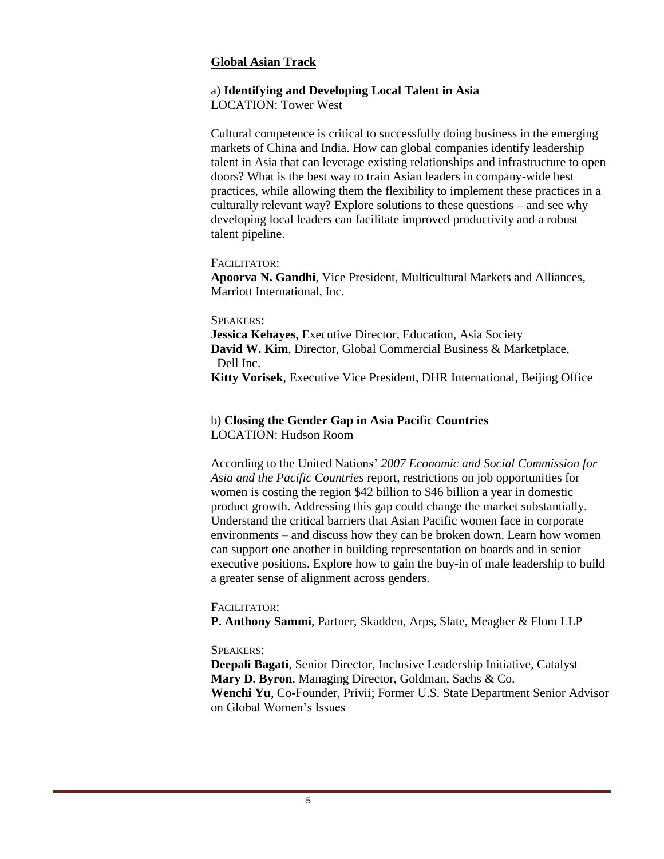#### **Global Asian Track**

## a) **Identifying and Developing Local Talent in Asia**

LOCATION: Tower West

Cultural competence is critical to successfully doing business in the emerging markets of China and India. How can global companies identify leadership talent in Asia that can leverage existing relationships and infrastructure to open doors? What is the best way to train Asian leaders in company-wide best practices, while allowing them the flexibility to implement these practices in a culturally relevant way? Explore solutions to these questions – and see why developing local leaders can facilitate improved productivity and a robust talent pipeline.

#### FACILITATOR:

**Apoorva N. Gandhi**, Vice President, Multicultural Markets and Alliances, Marriott International, Inc.

#### SPEAKERS:

**Jessica Kehayes,** Executive Director, Education, Asia Society **David W. Kim**, Director, Global Commercial Business & Marketplace, Dell Inc.

**Kitty Vorisek**, Executive Vice President, DHR International, Beijing Office

### b) **Closing the Gender Gap in Asia Pacific Countries** LOCATION: Hudson Room

According to the United Nations' *2007 Economic and Social Commission for Asia and the Pacific Countries* report, restrictions on job opportunities for women is costing the region \$42 billion to \$46 billion a year in domestic product growth. Addressing this gap could change the market substantially. Understand the critical barriers that Asian Pacific women face in corporate environments – and discuss how they can be broken down. Learn how women can support one another in building representation on boards and in senior executive positions. Explore how to gain the buy-in of male leadership to build a greater sense of alignment across genders.

#### FACILITATOR:

**P. Anthony Sammi**, Partner, Skadden, Arps, Slate, Meagher & Flom LLP

## SPEAKERS:

**Deepali Bagati**, Senior Director, Inclusive Leadership Initiative, Catalyst **Mary D. Byron**, Managing Director, Goldman, Sachs & Co. **Wenchi Yu**, Co-Founder, Privii; Former U.S. State Department Senior Advisor on Global Women's Issues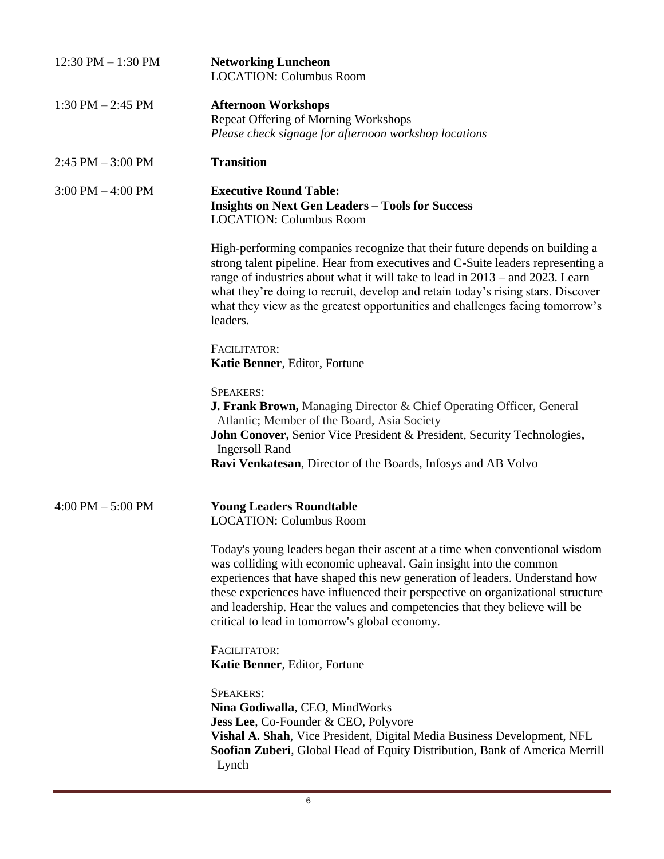| $12:30$ PM $- 1:30$ PM              | <b>Networking Luncheon</b><br><b>LOCATION: Columbus Room</b>                                                                                                                                                                                                                                                                                                                                                                                        |
|-------------------------------------|-----------------------------------------------------------------------------------------------------------------------------------------------------------------------------------------------------------------------------------------------------------------------------------------------------------------------------------------------------------------------------------------------------------------------------------------------------|
| $1:30$ PM $- 2:45$ PM               | <b>Afternoon Workshops</b><br><b>Repeat Offering of Morning Workshops</b><br>Please check signage for afternoon workshop locations                                                                                                                                                                                                                                                                                                                  |
| $2:45$ PM $-3:00$ PM                | <b>Transition</b>                                                                                                                                                                                                                                                                                                                                                                                                                                   |
| $3:00 \text{ PM} - 4:00 \text{ PM}$ | <b>Executive Round Table:</b><br><b>Insights on Next Gen Leaders - Tools for Success</b><br><b>LOCATION: Columbus Room</b>                                                                                                                                                                                                                                                                                                                          |
|                                     | High-performing companies recognize that their future depends on building a<br>strong talent pipeline. Hear from executives and C-Suite leaders representing a<br>range of industries about what it will take to lead in 2013 – and 2023. Learn<br>what they're doing to recruit, develop and retain today's rising stars. Discover<br>what they view as the greatest opportunities and challenges facing tomorrow's<br>leaders.                    |
|                                     | FACILITATOR:<br>Katie Benner, Editor, Fortune                                                                                                                                                                                                                                                                                                                                                                                                       |
|                                     | <b>SPEAKERS:</b><br><b>J. Frank Brown, Managing Director &amp; Chief Operating Officer, General</b><br>Atlantic; Member of the Board, Asia Society<br>John Conover, Senior Vice President & President, Security Technologies,<br><b>Ingersoll Rand</b><br>Ravi Venkatesan, Director of the Boards, Infosys and AB Volvo                                                                                                                             |
| $4:00$ PM $-5:00$ PM                | <b>Young Leaders Roundtable</b><br><b>LOCATION: Columbus Room</b>                                                                                                                                                                                                                                                                                                                                                                                   |
|                                     | Today's young leaders began their ascent at a time when conventional wisdom<br>was colliding with economic upheaval. Gain insight into the common<br>experiences that have shaped this new generation of leaders. Understand how<br>these experiences have influenced their perspective on organizational structure<br>and leadership. Hear the values and competencies that they believe will be<br>critical to lead in tomorrow's global economy. |
|                                     | FACILITATOR:<br>Katie Benner, Editor, Fortune                                                                                                                                                                                                                                                                                                                                                                                                       |
|                                     | <b>SPEAKERS:</b><br>Nina Godiwalla, CEO, MindWorks<br><b>Jess Lee, Co-Founder &amp; CEO, Polyvore</b><br>Vishal A. Shah, Vice President, Digital Media Business Development, NFL<br>Soofian Zuberi, Global Head of Equity Distribution, Bank of America Merrill<br>Lynch                                                                                                                                                                            |